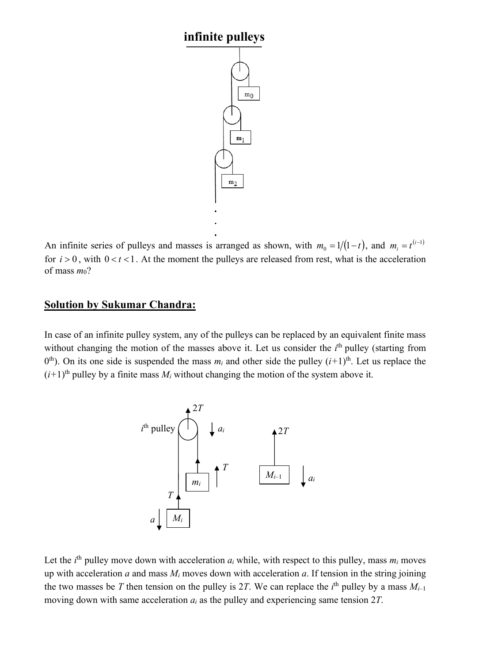## **infinite pulleys**



An infinite series of pulleys and masses is arranged as shown, with  $m_0 = 1/(1-t)$ , and  $m_i = t^{(i-1)}$ for  $i > 0$ , with  $0 < t < 1$ . At the moment the pulleys are released from rest, what is the acceleration of mass *m*0?

## **Solution by Sukumar Chandra:**

In case of an infinite pulley system, any of the pulleys can be replaced by an equivalent finite mass without changing the motion of the masses above it. Let us consider the  $i<sup>th</sup>$  pulley (starting from 0<sup>th</sup>). On its one side is suspended the mass  $m_i$  and other side the pulley  $(i+1)$ <sup>th</sup>. Let us replace the  $(i+1)$ <sup>th</sup> pulley by a finite mass  $M_i$  without changing the motion of the system above it.



Let the  $i^{\text{th}}$  pulley move down with acceleration  $a_i$  while, with respect to this pulley, mass  $m_i$  moves up with acceleration  $a$  and mass  $M_i$  moves down with acceleration  $a$ . If tension in the string joining the two masses be *T* then tension on the pulley is 2*T*. We can replace the  $i<sup>th</sup>$  pulley by a mass  $M_{i-1}$ moving down with same acceleration *ai* as the pulley and experiencing same tension 2*T*.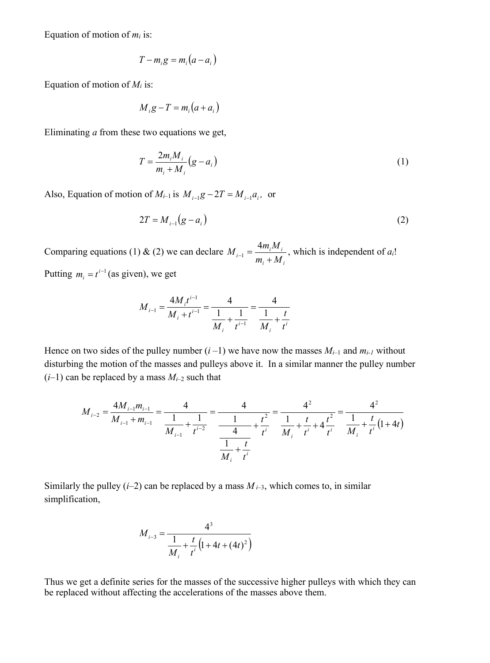Equation of motion of  $m_i$  is:

$$
T - m_i g = m_i (a - a_i)
$$

Equation of motion of  $M_i$  is:

$$
M_i g - T = m_i (a + a_i)
$$

Eliminating *a* from these two equations we get,

$$
T = \frac{2m_i M_i}{m_i + M_i} (g - a_i)
$$
 (1)

Also, Equation of motion of  $M_{i-1}$  is  $M_{i-1}g - 2T = M_{i-1}a_i$ , or

$$
2T = M_{i-1}(g - a_i) \tag{2}
$$

Comparing equations (1) & (2) we can declare  $M_{i-1} = \frac{-m_i m_i}{\lambda}$ , which is independent of  $a_i!$ Putting  $m_i = t^{i-1}$  (as given), we get *i i*  $i^{-1} = \frac{-m_i M_i}{m_i + M}$  $M_{i-1} = \frac{4m_iM}{m_i + M_i}$ 

$$
M_{i-1} = \frac{4M_i t^{i-1}}{M_i + t^{i-1}} = \frac{4}{\frac{1}{M_i} + \frac{1}{t^{i-1}}} = \frac{4}{\frac{1}{M_i} + \frac{t}{t^i}}
$$

Hence on two sides of the pulley number  $(i-1)$  we have now the masses  $M_{i-1}$  and  $m_{i-1}$  without disturbing the motion of the masses and pulleys above it. In a similar manner the pulley number  $(i-1)$  can be replaced by a mass  $M_{i-2}$  such that

$$
M_{i-2} = \frac{4M_{i-1}m_{i-1}}{M_{i-1} + m_{i-1}} = \frac{4}{\frac{1}{M_{i-1}} + \frac{1}{t^{i-2}}} = \frac{4}{\frac{1}{\frac{1}{M_i} + \frac{t^2}{t^i}}} = \frac{4^2}{\frac{1}{M_i} + \frac{t}{t^i} + 4\frac{t^2}{t^i}} = \frac{4^2}{\frac{1}{M_i} + \frac{t}{t^i}(1+4t)}
$$

Similarly the pulley  $(i-2)$  can be replaced by a mass  $M_{i-3}$ , which comes to, in similar simplification,

$$
M_{i-3} = \frac{4^3}{\frac{1}{M_i} + \frac{t}{t^i} (1 + 4t + (4t)^2)}
$$

Thus we get a definite series for the masses of the successive higher pulleys with which they can be replaced without affecting the accelerations of the masses above them.